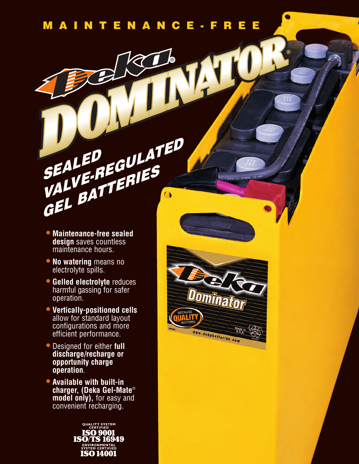Dominator

www.dekabatteries.com

Made in<br>U.S.A

**®**

# *SEALED* **SEALED<br>***VALVE-REGULATED GEL BATTERIES*

- **Maintenance-free sealed design** saves countless maintenance hours.
- **No watering** means no electrolyte spills.
- **Gelled electrolyte** reduces harmful gassing for safer operation.
- **Vertically-positioned cells** allow for standard layout configurations and more efficient performance.
- Designed for either **full discharge/recharge or opportunity charge operation**.
- **Available with built-in charger, (Deka Gel-Mate**® **model only),** for easy and convenient recharging.

QUALITY SYSTEM **ISO/TS 16949 ENVIRONMENTAL**<br>SYSTEM CERTIFIED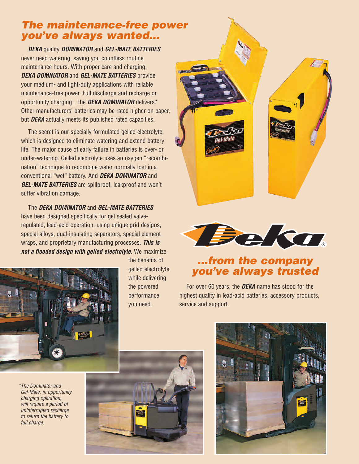## *The maintenance-free power you've always wanted...*

*DEKA* quality *DOMINATOR* and *GEL-MATE BATTERIES* never need watering, saving you countless routine maintenance hours. With proper care and charging, *DEKA DOMINATOR* and *GEL-MATE BATTERIES* provide your medium- and light-duty applications with reliable maintenance-free power. Full discharge and recharge or opportunity charging…the *DEKA DOMINATOR* delivers.\* Other manufacturers' batteries may be rated higher on paper, but *DEKA* actually meets its published rated capacities.

The secret is our specially formulated gelled electrolyte, which is designed to eliminate watering and extend battery life. The major cause of early failure in batteries is over- or under-watering. Gelled electrolyte uses an oxygen "recombination" technique to recombine water normally lost in a conventional "wet" battery. And *DEKA DOMINATOR* and *GEL-MATE BATTERIES* are spillproof, leakproof and won't suffer vibration damage.

The *DEKA DOMINATOR* and *GEL-MATE BATTERIES* have been designed specifically for gel sealed valveregulated, lead-acid operation, using unique grid designs, special alloys, dual-insulating separators, special element wraps, and proprietary manufacturing processes. *This is not a flooded design with gelled electrolyte*. We maximize



the benefits of gelled electrolyte while delivering the powered performance you need.





# *...from the company you've always trusted*

For over 60 years, the *DEKA* name has stood for the highest quality in lead-acid batteries, accessory products, service and support.

*\*The Dominator and Gel-Mate, in opportunity charging operation, will require a period of uninterrupted recharge to return the battery to full charge.*



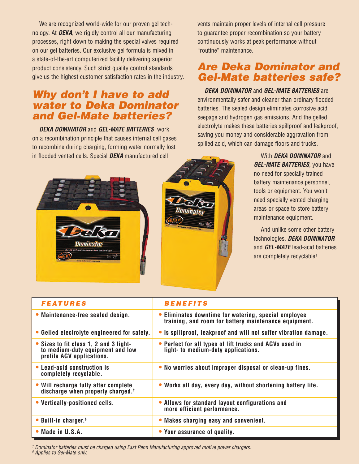We are recognized world-wide for our proven gel technology. At *DEKA*, we rigidly control all our manufacturing processes, right down to making the special valves required on our gel batteries. Our exclusive gel formula is mixed in a state-of-the-art computerized facility delivering superior product consistency. Such strict quality control standards give us the highest customer satisfaction rates in the industry.

#### *Why don't I have to add water to Deka Dominator and Gel-Mate batteries?*

*DEKA DOMINATOR* and *GEL-MATE BATTERIES* work on a recombination principle that causes internal cell gases to recombine during charging, forming water normally lost in flooded vented cells. Special *DEKA* manufactured cell

vents maintain proper levels of internal cell pressure to guarantee proper recombination so your battery continuously works at peak performance without "routine" maintenance.

### *Are Deka Dominator and Gel-Mate batteries safe?*

*DEKA DOMINATOR* and *GEL-MATE BATTERIES* are environmentally safer and cleaner than ordinary flooded batteries. The sealed design eliminates corrosive acid seepage and hydrogen gas emissions. And the gelled electrolyte makes these batteries spillproof and leakproof, saving you money and considerable aggravation from spilled acid, which can damage floors and trucks.





With *DEKA DOMINATOR* and *GEL-MATE BATTERIES*, you have no need for specially trained battery maintenance personnel, tools or equipment. You won't need specially vented charging areas or space to store battery maintenance equipment.

And unlike some other battery technologies, *DEKA DOMINATOR* and *GEL-MATE* lead-acid batteries are completely recyclable!

| <b>FEATURES</b>                                                                                         | <b>BENEFITS</b>                                                                                               |
|---------------------------------------------------------------------------------------------------------|---------------------------------------------------------------------------------------------------------------|
| • Maintenance-free sealed design.                                                                       | • Eliminates downtime for watering, special employee<br>training, and room for battery maintenance equipment. |
| • Gelled electrolyte engineered for safety.                                                             | • Is spillproof, leakproof and will not suffer vibration damage.                                              |
| • Sizes to fit class 1, 2 and 3 light-<br>to medium-duty equipment and low<br>profile AGV applications. | • Perfect for all types of lift trucks and AGVs used in<br>light- to medium-duty applications.                |
| • Lead-acid construction is<br>completely recyclable.                                                   | • No worries about improper disposal or clean-up fines.                                                       |
| • Will recharge fully after complete<br>discharge when properly charged. <sup>†</sup>                   | • Works all day, every day, without shortening battery life.                                                  |
| • Vertically-positioned cells.                                                                          | • Allows for standard layout configurations and<br>more efficient performance.                                |
| • Built-in charger. <sup>§</sup>                                                                        | • Makes charging easy and convenient.                                                                         |
| $\bullet$ Made in U.S.A.                                                                                | • Your assurance of quality.                                                                                  |

*† Dominator batteries must be charged using East Penn Manufacturing approved motive power chargers. § Applies to Gel-Mate only.*